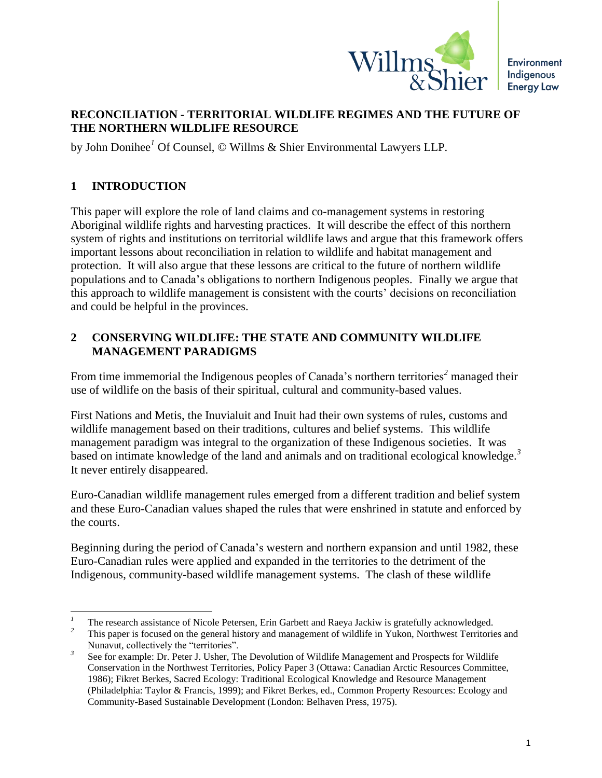

## **RECONCILIATION - TERRITORIAL WILDLIFE REGIMES AND THE FUTURE OF THE NORTHERN WILDLIFE RESOURCE**

by John Donihee*<sup>1</sup>* Of Counsel, © Willms & Shier Environmental Lawyers LLP.

# **1 INTRODUCTION**

 $\overline{a}$ 

This paper will explore the role of land claims and co-management systems in restoring Aboriginal wildlife rights and harvesting practices. It will describe the effect of this northern system of rights and institutions on territorial wildlife laws and argue that this framework offers important lessons about reconciliation in relation to wildlife and habitat management and protection. It will also argue that these lessons are critical to the future of northern wildlife populations and to Canada's obligations to northern Indigenous peoples. Finally we argue that this approach to wildlife management is consistent with the courts' decisions on reconciliation and could be helpful in the provinces.

### **2 CONSERVING WILDLIFE: THE STATE AND COMMUNITY WILDLIFE MANAGEMENT PARADIGMS**

From time immemorial the Indigenous peoples of Canada's northern territories*<sup>2</sup>* managed their use of wildlife on the basis of their spiritual, cultural and community-based values.

First Nations and Metis, the Inuvialuit and Inuit had their own systems of rules, customs and wildlife management based on their traditions, cultures and belief systems. This wildlife management paradigm was integral to the organization of these Indigenous societies. It was based on intimate knowledge of the land and animals and on traditional ecological knowledge.<sup>3</sup> It never entirely disappeared.

Euro-Canadian wildlife management rules emerged from a different tradition and belief system and these Euro-Canadian values shaped the rules that were enshrined in statute and enforced by the courts.

Beginning during the period of Canada's western and northern expansion and until 1982, these Euro-Canadian rules were applied and expanded in the territories to the detriment of the Indigenous, community-based wildlife management systems. The clash of these wildlife

<sup>&</sup>lt;sup>1</sup> The research assistance of Nicole Petersen, Erin Garbett and Raeya Jackiw is gratefully acknowledged.<br><sup>2</sup> This negative focused on the concret bioteny and management of wildlife in Vultan, Neuthwest Temitoria

*<sup>2</sup>* This paper is focused on the general history and management of wildlife in Yukon, Northwest Territories and Nunavut, collectively the "territories".

*<sup>3</sup>* See for example: Dr. Peter J. Usher, The Devolution of Wildlife Management and Prospects for Wildlife Conservation in the Northwest Territories, Policy Paper 3 (Ottawa: Canadian Arctic Resources Committee, 1986); Fikret Berkes, Sacred Ecology: Traditional Ecological Knowledge and Resource Management (Philadelphia: Taylor & Francis, 1999); and Fikret Berkes, ed., Common Property Resources: Ecology and Community-Based Sustainable Development (London: Belhaven Press, 1975).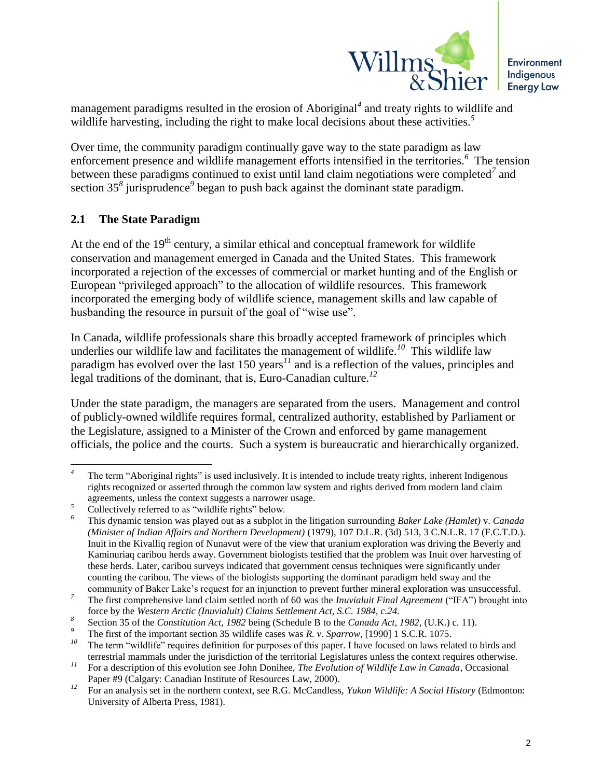

management paradigms resulted in the erosion of Aboriginal*<sup>4</sup>* and treaty rights to wildlife and wildlife harvesting, including the right to make local decisions about these activities.<sup>5</sup>

Over time, the community paradigm continually gave way to the state paradigm as law enforcement presence and wildlife management efforts intensified in the territories. *6* The tension between these paradigms continued to exist until land claim negotiations were completed<sup>7</sup> and section 35<sup>8</sup> jurisprudence<sup>9</sup> began to push back against the dominant state paradigm.

### **2.1 The State Paradigm**

At the end of the  $19<sup>th</sup>$  century, a similar ethical and conceptual framework for wildlife conservation and management emerged in Canada and the United States. This framework incorporated a rejection of the excesses of commercial or market hunting and of the English or European "privileged approach" to the allocation of wildlife resources. This framework incorporated the emerging body of wildlife science, management skills and law capable of husbanding the resource in pursuit of the goal of "wise use".

In Canada, wildlife professionals share this broadly accepted framework of principles which underlies our wildlife law and facilitates the management of wildlife.*<sup>10</sup>* This wildlife law paradigm has evolved over the last 150 years<sup>11</sup> and is a reflection of the values, principles and legal traditions of the dominant, that is, Euro-Canadian culture.*<sup>12</sup>*

Under the state paradigm, the managers are separated from the users. Management and control of publicly-owned wildlife requires formal, centralized authority, established by Parliament or the Legislature, assigned to a Minister of the Crown and enforced by game management officials, the police and the courts. Such a system is bureaucratic and hierarchically organized.

 $\overline{a}$ The term "Aboriginal rights" is used inclusively. It is intended to include treaty rights, inherent Indigenous rights recognized or asserted through the common law system and rights derived from modern land claim agreements, unless the context suggests a narrower usage.

Collectively referred to as "wildlife rights" below.

*<sup>6</sup>* This dynamic tension was played out as a subplot in the litigation surrounding *Baker Lake (Hamlet)* v. *Canada (Minister of Indian Affairs and Northern Development)* (1979), 107 D.L.R. (3d) 513, 3 C.N.L.R. 17 (F.C.T.D.). Inuit in the Kivalliq region of Nunavut were of the view that uranium exploration was driving the Beverly and Kaminuriaq caribou herds away. Government biologists testified that the problem was Inuit over harvesting of these herds. Later, caribou surveys indicated that government census techniques were significantly under counting the caribou. The views of the biologists supporting the dominant paradigm held sway and the community of Baker Lake's request for an injunction to prevent further mineral exploration was unsuccessful.

*<sup>7</sup>* The first comprehensive land claim settled north of 60 was the *Inuvialuit Final Agreement* ("IFA") brought into force by the *Western Arctic (Inuvialuit) Claims Settlement Act, S.C. 1984, c.24.*

*<sup>8</sup>* Section 35 of the *Constitution Act, 1982* being (Schedule B to the *Canada Act, 1982*, (U.K.) c. 11).

<sup>&</sup>lt;sup>9</sup> The first of the important section 35 wildlife cases was *R. v. Sparrow*, [1990] 1 S.C.R. 1075.

*<sup>10</sup>* The term "wildlife" requires definition for purposes of this paper. I have focused on laws related to birds and terrestrial mammals under the jurisdiction of the territorial Legislatures unless the context requires otherwise.

*<sup>11</sup>* For a description of this evolution see John Donihee, *The Evolution of Wildlife Law in Canada*, Occasional Paper #9 (Calgary: Canadian Institute of Resources Law, 2000).

*<sup>12</sup>* For an analysis set in the northern context, see R.G. McCandless, *Yukon Wildlife: A Social History* (Edmonton: University of Alberta Press, 1981).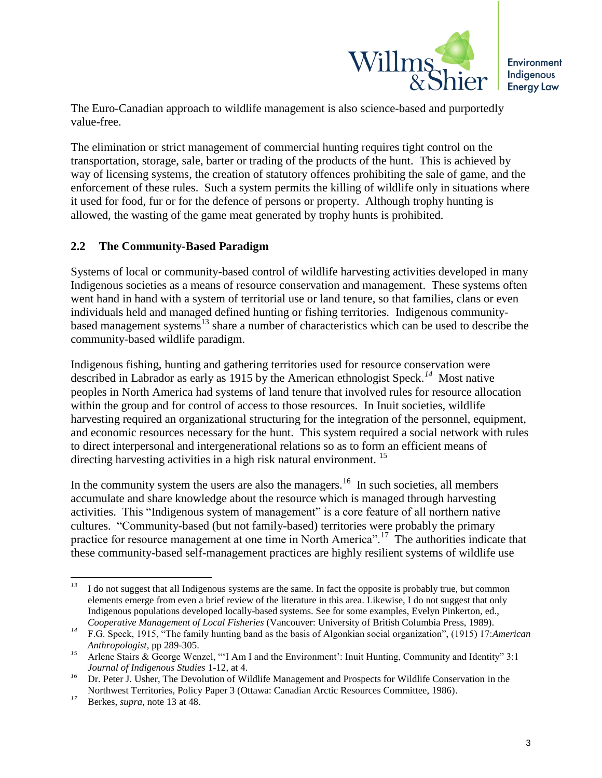

The Euro-Canadian approach to wildlife management is also science-based and purportedly value-free.

The elimination or strict management of commercial hunting requires tight control on the transportation, storage, sale, barter or trading of the products of the hunt. This is achieved by way of licensing systems, the creation of statutory offences prohibiting the sale of game, and the enforcement of these rules. Such a system permits the killing of wildlife only in situations where it used for food, fur or for the defence of persons or property. Although trophy hunting is allowed, the wasting of the game meat generated by trophy hunts is prohibited.

### **2.2 The Community-Based Paradigm**

Systems of local or community-based control of wildlife harvesting activities developed in many Indigenous societies as a means of resource conservation and management. These systems often went hand in hand with a system of territorial use or land tenure, so that families, clans or even individuals held and managed defined hunting or fishing territories. Indigenous communitybased management systems<sup>13</sup> share a number of characteristics which can be used to describe the community-based wildlife paradigm.

Indigenous fishing, hunting and gathering territories used for resource conservation were described in Labrador as early as 1915 by the American ethnologist Speck.*<sup>14</sup>* Most native peoples in North America had systems of land tenure that involved rules for resource allocation within the group and for control of access to those resources. In Inuit societies, wildlife harvesting required an organizational structuring for the integration of the personnel, equipment, and economic resources necessary for the hunt. This system required a social network with rules to direct interpersonal and intergenerational relations so as to form an efficient means of directing harvesting activities in a high risk natural environment.<sup>15</sup>

In the community system the users are also the managers.<sup>16</sup> In such societies, all members accumulate and share knowledge about the resource which is managed through harvesting activities. This "Indigenous system of management" is a core feature of all northern native cultures. "Community-based (but not family-based) territories were probably the primary practice for resource management at one time in North America".<sup>17</sup> The authorities indicate that these community-based self-management practices are highly resilient systems of wildlife use

 $13\,$ I do not suggest that all Indigenous systems are the same. In fact the opposite is probably true, but common elements emerge from even a brief review of the literature in this area. Likewise, I do not suggest that only Indigenous populations developed locally-based systems. See for some examples, Evelyn Pinkerton, ed., *Cooperative Management of Local Fisheries* (Vancouver: University of British Columbia Press, 1989).

*<sup>14</sup>* F.G. Speck, 1915, "The family hunting band as the basis of Algonkian social organization", (1915) 17:*American Anthropologist*, pp 289-305.

*<sup>15</sup>* Arlene Stairs & George Wenzel, "'I Am I and the Environment': Inuit Hunting, Community and Identity" 3:1 *Journal of Indigenous Studies* 1-12, at 4.

<sup>&</sup>lt;sup>16</sup> Dr. Peter J. Usher, The Devolution of Wildlife Management and Prospects for Wildlife Conservation in the Northwest Territories, Policy Paper 3 (Ottawa: Canadian Arctic Resources Committee, 1986).

*<sup>17</sup>* Berkes, *supra*, note 13 at 48.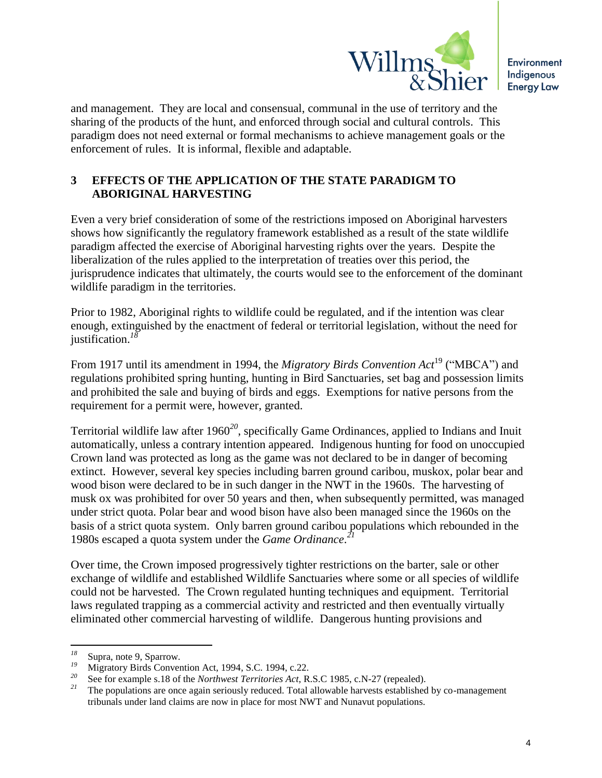

and management. They are local and consensual, communal in the use of territory and the sharing of the products of the hunt, and enforced through social and cultural controls. This paradigm does not need external or formal mechanisms to achieve management goals or the enforcement of rules. It is informal, flexible and adaptable.

# **3 EFFECTS OF THE APPLICATION OF THE STATE PARADIGM TO ABORIGINAL HARVESTING**

Even a very brief consideration of some of the restrictions imposed on Aboriginal harvesters shows how significantly the regulatory framework established as a result of the state wildlife paradigm affected the exercise of Aboriginal harvesting rights over the years. Despite the liberalization of the rules applied to the interpretation of treaties over this period, the jurisprudence indicates that ultimately, the courts would see to the enforcement of the dominant wildlife paradigm in the territories.

Prior to 1982, Aboriginal rights to wildlife could be regulated, and if the intention was clear enough, extinguished by the enactment of federal or territorial legislation, without the need for justification.*<sup>18</sup>*

From 1917 until its amendment in 1994, the *Migratory Birds Convention Act*<sup>19</sup> ("MBCA") and regulations prohibited spring hunting, hunting in Bird Sanctuaries, set bag and possession limits and prohibited the sale and buying of birds and eggs. Exemptions for native persons from the requirement for a permit were, however, granted.

Territorial wildlife law after 1960*<sup>20</sup>* , specifically Game Ordinances, applied to Indians and Inuit automatically, unless a contrary intention appeared. Indigenous hunting for food on unoccupied Crown land was protected as long as the game was not declared to be in danger of becoming extinct. However, several key species including barren ground caribou, muskox, polar bear and wood bison were declared to be in such danger in the NWT in the 1960s. The harvesting of musk ox was prohibited for over 50 years and then, when subsequently permitted, was managed under strict quota. Polar bear and wood bison have also been managed since the 1960s on the basis of a strict quota system. Only barren ground caribou populations which rebounded in the 1980s escaped a quota system under the *Game Ordinance*. *21*

Over time, the Crown imposed progressively tighter restrictions on the barter, sale or other exchange of wildlife and established Wildlife Sanctuaries where some or all species of wildlife could not be harvested. The Crown regulated hunting techniques and equipment. Territorial laws regulated trapping as a commercial activity and restricted and then eventually virtually eliminated other commercial harvesting of wildlife. Dangerous hunting provisions and

 $18\,$ <sup>18</sup> Supra, note 9, Sparrow.<br><sup>19</sup> Migreton: Birds Convert

<sup>&</sup>lt;sup>19</sup> Migratory Birds Convention Act, 1994, S.C. 1994, c.22.

<sup>&</sup>lt;sup>20</sup> See for example s.18 of the *Northwest Territories Act*, R.S.C 1985, c.N-27 (repealed).

*<sup>21</sup>* The populations are once again seriously reduced. Total allowable harvests established by co-management tribunals under land claims are now in place for most NWT and Nunavut populations.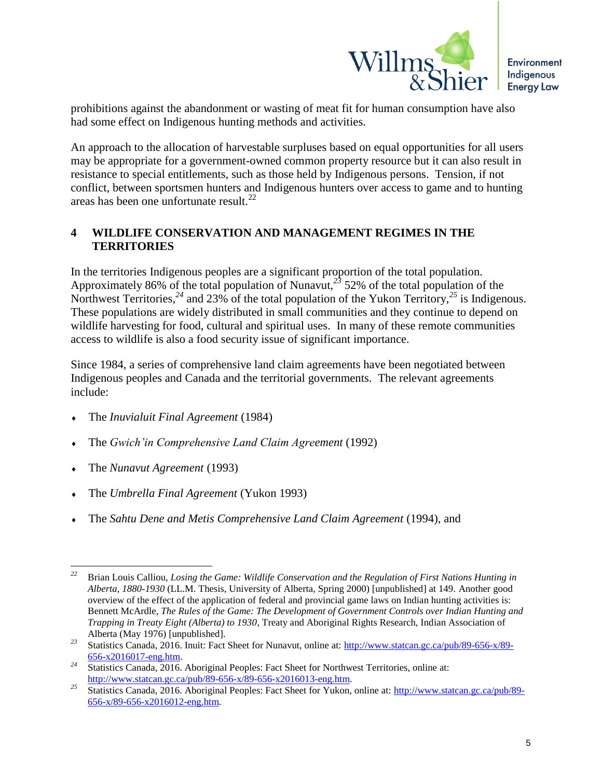

prohibitions against the abandonment or wasting of meat fit for human consumption have also had some effect on Indigenous hunting methods and activities.

An approach to the allocation of harvestable surpluses based on equal opportunities for all users may be appropriate for a government-owned common property resource but it can also result in resistance to special entitlements, such as those held by Indigenous persons. Tension, if not conflict, between sportsmen hunters and Indigenous hunters over access to game and to hunting areas has been one unfortunate result.<sup>22</sup>

### **4 WILDLIFE CONSERVATION AND MANAGEMENT REGIMES IN THE TERRITORIES**

In the territories Indigenous peoples are a significant proportion of the total population. Approximately 86% of the total population of Nunavut,*<sup>23</sup>* 52% of the total population of the Northwest Territories,<sup>24</sup> and 23% of the total population of the Yukon Territory,<sup>25</sup> is Indigenous. These populations are widely distributed in small communities and they continue to depend on wildlife harvesting for food, cultural and spiritual uses. In many of these remote communities access to wildlife is also a food security issue of significant importance.

Since 1984, a series of comprehensive land claim agreements have been negotiated between Indigenous peoples and Canada and the territorial governments. The relevant agreements include:

- The *Inuvialuit Final Agreement* (1984)
- The *Gwich'in Comprehensive Land Claim Agreement* (1992)
- The *Nunavut Agreement* (1993)
- The *Umbrella Final Agreement* (Yukon 1993)
- The *Sahtu Dene and Metis Comprehensive Land Claim Agreement* (1994), and

<sup>22</sup> *<sup>22</sup>* Brian Louis Calliou, *Losing the Game: Wildlife Conservation and the Regulation of First Nations Hunting in Alberta, 1880-1930* (LL.M. Thesis, University of Alberta, Spring 2000) [unpublished] at 149. Another good overview of the effect of the application of federal and provincial game laws on Indian hunting activities is: Bennett McArdle, *The Rules of the Game: The Development of Government Controls over Indian Hunting and Trapping in Treaty Eight (Alberta) to 1930*, Treaty and Aboriginal Rights Research, Indian Association of Alberta (May 1976) [unpublished].

*<sup>23</sup>* Statistics Canada, 2016. Inuit: Fact Sheet for Nunavut, online at: [http://www.statcan.gc.ca/pub/89-656-x/89-](http://www.statcan.gc.ca/pub/89-656-x/89-656-x2016017-eng.htm) [656-x2016017-eng.htm.](http://www.statcan.gc.ca/pub/89-656-x/89-656-x2016017-eng.htm) 

<sup>&</sup>lt;sup>24</sup> Statistics Canada, 2016. Aboriginal Peoples: Fact Sheet for Northwest Territories, online at: [http://www.statcan.gc.ca/pub/89-656-x/89-656-x2016013-eng.htm.](http://www.statcan.gc.ca/pub/89-656-x/89-656-x2016013-eng.htm)

*<sup>25</sup>* Statistics Canada, 2016. Aboriginal Peoples: Fact Sheet for Yukon, online at: [http://www.statcan.gc.ca/pub/89-](http://www.statcan.gc.ca/pub/89-656-x/89-656-x2016012-eng.htm) [656-x/89-656-x2016012-eng.htm.](http://www.statcan.gc.ca/pub/89-656-x/89-656-x2016012-eng.htm)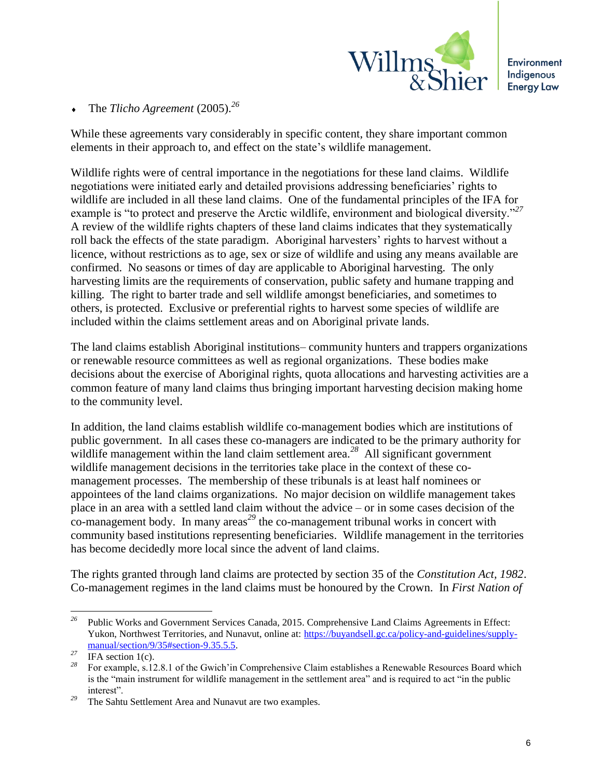

The *Tlicho Agreement* (2005).*<sup>26</sup>*

While these agreements vary considerably in specific content, they share important common elements in their approach to, and effect on the state's wildlife management.

Wildlife rights were of central importance in the negotiations for these land claims. Wildlife negotiations were initiated early and detailed provisions addressing beneficiaries' rights to wildlife are included in all these land claims. One of the fundamental principles of the IFA for example is "to protect and preserve the Arctic wildlife, environment and biological diversity."*<sup>27</sup>* A review of the wildlife rights chapters of these land claims indicates that they systematically roll back the effects of the state paradigm. Aboriginal harvesters' rights to harvest without a licence, without restrictions as to age, sex or size of wildlife and using any means available are confirmed. No seasons or times of day are applicable to Aboriginal harvesting. The only harvesting limits are the requirements of conservation, public safety and humane trapping and killing. The right to barter trade and sell wildlife amongst beneficiaries, and sometimes to others, is protected. Exclusive or preferential rights to harvest some species of wildlife are included within the claims settlement areas and on Aboriginal private lands.

The land claims establish Aboriginal institutions– community hunters and trappers organizations or renewable resource committees as well as regional organizations. These bodies make decisions about the exercise of Aboriginal rights, quota allocations and harvesting activities are a common feature of many land claims thus bringing important harvesting decision making home to the community level.

In addition, the land claims establish wildlife co-management bodies which are institutions of public government. In all cases these co-managers are indicated to be the primary authority for wildlife management within the land claim settlement area.<sup>28</sup> All significant government wildlife management decisions in the territories take place in the context of these comanagement processes. The membership of these tribunals is at least half nominees or appointees of the land claims organizations. No major decision on wildlife management takes place in an area with a settled land claim without the advice – or in some cases decision of the co-management body. In many areas*<sup>29</sup>* the co-management tribunal works in concert with community based institutions representing beneficiaries. Wildlife management in the territories has become decidedly more local since the advent of land claims.

The rights granted through land claims are protected by section 35 of the *Constitution Act, 1982*. Co-management regimes in the land claims must be honoured by the Crown. In *First Nation of* 

 $\overline{a}$ *<sup>26</sup>* Public Works and Government Services Canada, 2015. Comprehensive Land Claims Agreements in Effect: Yukon, Northwest Territories, and Nunavut, online at: [https://buyandsell.gc.ca/policy-and-guidelines/supply](https://buyandsell.gc.ca/policy-and-guidelines/supply-manual/section/9/35#section-9.35.5.5)[manual/section/9/35#section-9.35.5.5.](https://buyandsell.gc.ca/policy-and-guidelines/supply-manual/section/9/35#section-9.35.5.5)

 $\frac{27}{28}$  IFA section 1(c).

*<sup>28</sup>* For example, s.12.8.1 of the Gwich'in Comprehensive Claim establishes a Renewable Resources Board which is the "main instrument for wildlife management in the settlement area" and is required to act "in the public interest".

*<sup>29</sup>* The Sahtu Settlement Area and Nunavut are two examples.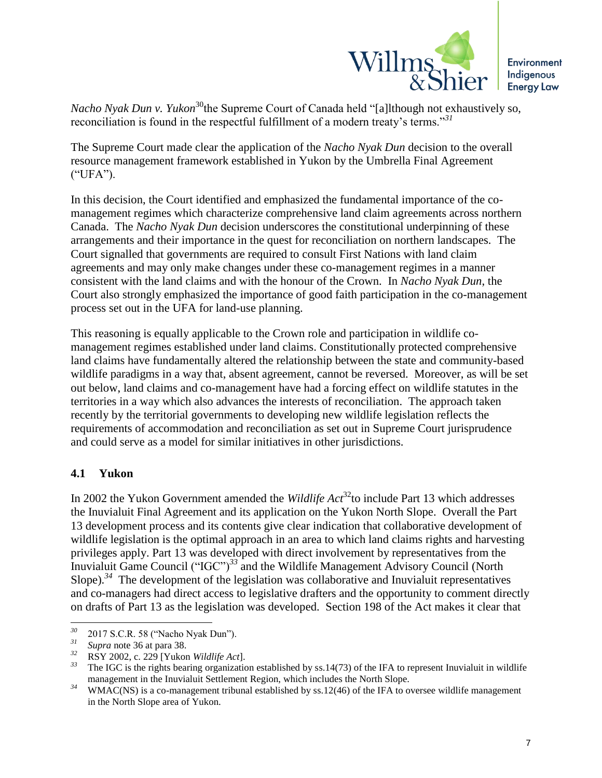

*Nacho Nyak Dun v. Yukon*<sup>30</sup>the Supreme Court of Canada held "[a]lthough not exhaustively so, reconciliation is found in the respectful fulfillment of a modern treaty's terms."*<sup>31</sup>*

The Supreme Court made clear the application of the *Nacho Nyak Dun* decision to the overall resource management framework established in Yukon by the Umbrella Final Agreement ("UFA").

In this decision, the Court identified and emphasized the fundamental importance of the comanagement regimes which characterize comprehensive land claim agreements across northern Canada. The *Nacho Nyak Dun* decision underscores the constitutional underpinning of these arrangements and their importance in the quest for reconciliation on northern landscapes. The Court signalled that governments are required to consult First Nations with land claim agreements and may only make changes under these co-management regimes in a manner consistent with the land claims and with the honour of the Crown. In *Nacho Nyak Dun*, the Court also strongly emphasized the importance of good faith participation in the co-management process set out in the UFA for land-use planning.

This reasoning is equally applicable to the Crown role and participation in wildlife comanagement regimes established under land claims. Constitutionally protected comprehensive land claims have fundamentally altered the relationship between the state and community-based wildlife paradigms in a way that, absent agreement, cannot be reversed. Moreover, as will be set out below, land claims and co-management have had a forcing effect on wildlife statutes in the territories in a way which also advances the interests of reconciliation. The approach taken recently by the territorial governments to developing new wildlife legislation reflects the requirements of accommodation and reconciliation as set out in Supreme Court jurisprudence and could serve as a model for similar initiatives in other jurisdictions.

# **4.1 Yukon**

In 2002 the Yukon Government amended the *Wildlife Act*<sup>32</sup>to include Part 13 which addresses the Inuvialuit Final Agreement and its application on the Yukon North Slope. Overall the Part 13 development process and its contents give clear indication that collaborative development of wildlife legislation is the optimal approach in an area to which land claims rights and harvesting privileges apply. Part 13 was developed with direct involvement by representatives from the Inuvialuit Game Council ("IGC")<sup>33</sup> and the Wildlife Management Advisory Council (North Slope).<sup>34</sup> The development of the legislation was collaborative and Inuvialuit representatives and co-managers had direct access to legislative drafters and the opportunity to comment directly on drafts of Part 13 as the legislation was developed. Section 198 of the Act makes it clear that

 $30<sup>°</sup>$ *<sup>30</sup>* 2017 S.C.R. 58 ("Nacho Nyak Dun").

 $\frac{31}{32}$  *Supra* note 36 at para 38.

*<sup>32</sup>* RSY 2002, c. 229 [Yukon *Wildlife Act*].

*<sup>33</sup>* The IGC is the rights bearing organization established by ss.14(73) of the IFA to represent Inuvialuit in wildlife management in the Inuvialuit Settlement Region, which includes the North Slope.

<sup>&</sup>lt;sup>34</sup> WMAC(NS) is a co-management tribunal established by ss.12(46) of the IFA to oversee wildlife management in the North Slope area of Yukon.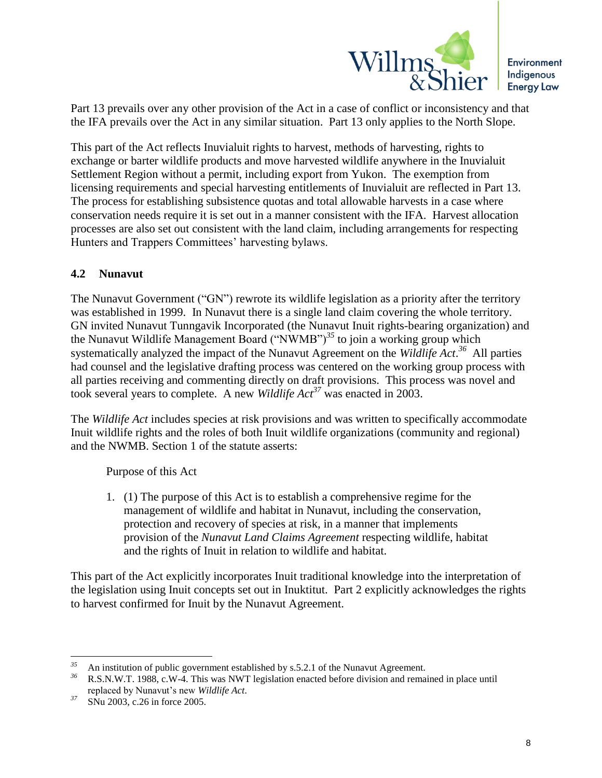

Part 13 prevails over any other provision of the Act in a case of conflict or inconsistency and that the IFA prevails over the Act in any similar situation. Part 13 only applies to the North Slope.

This part of the Act reflects Inuvialuit rights to harvest, methods of harvesting, rights to exchange or barter wildlife products and move harvested wildlife anywhere in the Inuvialuit Settlement Region without a permit, including export from Yukon. The exemption from licensing requirements and special harvesting entitlements of Inuvialuit are reflected in Part 13. The process for establishing subsistence quotas and total allowable harvests in a case where conservation needs require it is set out in a manner consistent with the IFA. Harvest allocation processes are also set out consistent with the land claim, including arrangements for respecting Hunters and Trappers Committees' harvesting bylaws.

### **4.2 Nunavut**

The Nunavut Government ("GN") rewrote its wildlife legislation as a priority after the territory was established in 1999. In Nunavut there is a single land claim covering the whole territory. GN invited Nunavut Tunngavik Incorporated (the Nunavut Inuit rights-bearing organization) and the Nunavut Wildlife Management Board ("NWMB")*<sup>35</sup>* to join a working group which systematically analyzed the impact of the Nunavut Agreement on the *Wildlife Act*. *<sup>36</sup>* All parties had counsel and the legislative drafting process was centered on the working group process with all parties receiving and commenting directly on draft provisions. This process was novel and took several years to complete. A new *Wildlife Act<sup>37</sup>* was enacted in 2003.

The *Wildlife Act* includes species at risk provisions and was written to specifically accommodate Inuit wildlife rights and the roles of both Inuit wildlife organizations (community and regional) and the NWMB. Section 1 of the statute asserts:

Purpose of this Act

1. (1) The purpose of this Act is to establish a comprehensive regime for the management of wildlife and habitat in Nunavut, including the conservation, protection and recovery of species at risk, in a manner that implements provision of the *Nunavut Land Claims Agreement* respecting wildlife, habitat and the rights of Inuit in relation to wildlife and habitat.

This part of the Act explicitly incorporates Inuit traditional knowledge into the interpretation of the legislation using Inuit concepts set out in Inuktitut. Part 2 explicitly acknowledges the rights to harvest confirmed for Inuit by the Nunavut Agreement.

<sup>35</sup> <sup>35</sup> An institution of public government established by s.5.2.1 of the Nunavut Agreement.

*<sup>36</sup>* R.S.N.W.T. 1988, c.W-4. This was NWT legislation enacted before division and remained in place until replaced by Nunavut's new *Wildlife Act*.

*<sup>37</sup>* SNu 2003, c.26 in force 2005.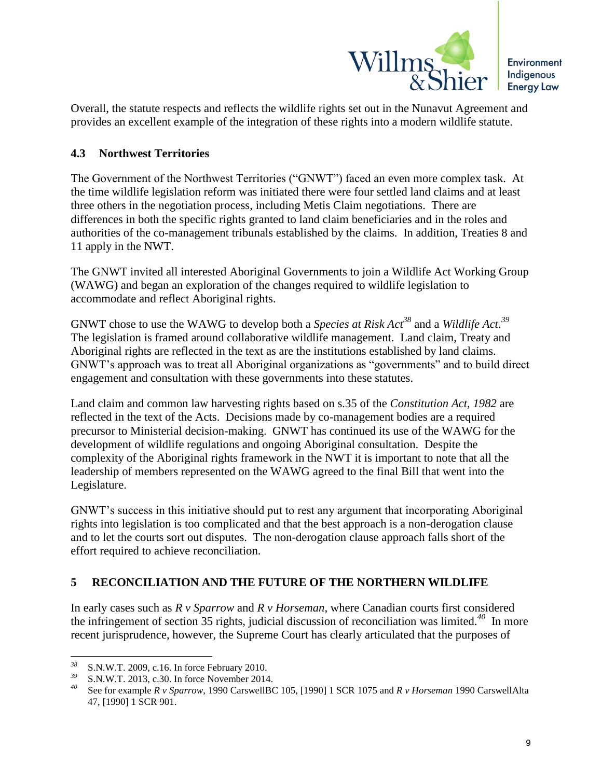

Overall, the statute respects and reflects the wildlife rights set out in the Nunavut Agreement and provides an excellent example of the integration of these rights into a modern wildlife statute.

#### **4.3 Northwest Territories**

The Government of the Northwest Territories ("GNWT") faced an even more complex task. At the time wildlife legislation reform was initiated there were four settled land claims and at least three others in the negotiation process, including Metis Claim negotiations. There are differences in both the specific rights granted to land claim beneficiaries and in the roles and authorities of the co-management tribunals established by the claims. In addition, Treaties 8 and 11 apply in the NWT.

The GNWT invited all interested Aboriginal Governments to join a Wildlife Act Working Group (WAWG) and began an exploration of the changes required to wildlife legislation to accommodate and reflect Aboriginal rights.

GNWT chose to use the WAWG to develop both a *Species at Risk Act<sup>38</sup>* and a *Wildlife Act*. *39* The legislation is framed around collaborative wildlife management. Land claim, Treaty and Aboriginal rights are reflected in the text as are the institutions established by land claims. GNWT's approach was to treat all Aboriginal organizations as "governments" and to build direct engagement and consultation with these governments into these statutes.

Land claim and common law harvesting rights based on s.35 of the *Constitution Act, 1982* are reflected in the text of the Acts. Decisions made by co-management bodies are a required precursor to Ministerial decision-making. GNWT has continued its use of the WAWG for the development of wildlife regulations and ongoing Aboriginal consultation. Despite the complexity of the Aboriginal rights framework in the NWT it is important to note that all the leadership of members represented on the WAWG agreed to the final Bill that went into the Legislature.

GNWT's success in this initiative should put to rest any argument that incorporating Aboriginal rights into legislation is too complicated and that the best approach is a non-derogation clause and to let the courts sort out disputes. The non-derogation clause approach falls short of the effort required to achieve reconciliation.

#### **5 RECONCILIATION AND THE FUTURE OF THE NORTHERN WILDLIFE**

In early cases such as *R v Sparrow* and *R v Horseman*, where Canadian courts first considered the infringement of section 35 rights, judicial discussion of reconciliation was limited.*<sup>40</sup>* In more recent jurisprudence, however, the Supreme Court has clearly articulated that the purposes of

<sup>38</sup> <sup>38</sup> S.N.W.T. 2009, c.16. In force February 2010.

*S.N.W.T. 2013, c.30. In force November 2014.* 

*<sup>40</sup>* See for example *R v Sparrow*, 1990 CarswellBC 105, [1990] 1 SCR 1075 and *R v Horseman* 1990 CarswellAlta 47, [1990] 1 SCR 901.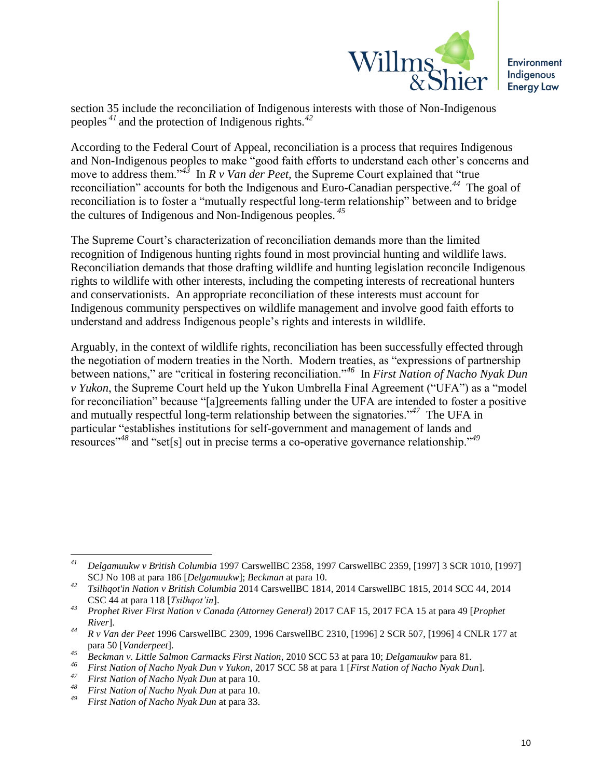

section 35 include the reconciliation of Indigenous interests with those of Non-Indigenous peoples *<sup>41</sup>* and the protection of Indigenous rights.*<sup>42</sup>*

According to the Federal Court of Appeal, reconciliation is a process that requires Indigenous and Non-Indigenous peoples to make "good faith efforts to understand each other's concerns and move to address them."*<sup>43</sup>* In *R v Van der Peet,* the Supreme Court explained that "true reconciliation" accounts for both the Indigenous and Euro-Canadian perspective.*<sup>44</sup>* The goal of reconciliation is to foster a "mutually respectful long-term relationship" between and to bridge the cultures of Indigenous and Non-Indigenous peoples. *<sup>45</sup>*

The Supreme Court's characterization of reconciliation demands more than the limited recognition of Indigenous hunting rights found in most provincial hunting and wildlife laws. Reconciliation demands that those drafting wildlife and hunting legislation reconcile Indigenous rights to wildlife with other interests, including the competing interests of recreational hunters and conservationists. An appropriate reconciliation of these interests must account for Indigenous community perspectives on wildlife management and involve good faith efforts to understand and address Indigenous people's rights and interests in wildlife.

Arguably, in the context of wildlife rights, reconciliation has been successfully effected through the negotiation of modern treaties in the North. Modern treaties, as "expressions of partnership between nations," are "critical in fostering reconciliation."*<sup>46</sup>* In *First Nation of Nacho Nyak Dun v Yukon*, the Supreme Court held up the Yukon Umbrella Final Agreement ("UFA") as a "model for reconciliation" because "[a]greements falling under the UFA are intended to foster a positive and mutually respectful long-term relationship between the signatories."*<sup>47</sup>* The UFA in particular "establishes institutions for self-government and management of lands and resources"*<sup>48</sup>* and "set[s] out in precise terms a co-operative governance relationship."*<sup>49</sup>*

 $41$ *<sup>41</sup> Delgamuukw v British Columbia* 1997 CarswellBC 2358, 1997 CarswellBC 2359, [1997] 3 SCR 1010, [1997] SCJ No 108 at para 186 [*Delgamuukw*]; *Beckman* at para 10.

*<sup>42</sup> Tsilhqot'in Nation v British Columbia* 2014 CarswellBC 1814, 2014 CarswellBC 1815, 2014 SCC 44, 2014 CSC 44 at para 118 [*Tsilhqot'in*].

*<sup>43</sup> Prophet River First Nation v Canada (Attorney General)* 2017 CAF 15, 2017 FCA 15 at para 49 [*Prophet River*].

*<sup>44</sup> R v Van der Peet* 1996 CarswellBC 2309, 1996 CarswellBC 2310, [1996] 2 SCR 507, [1996] 4 CNLR 177 at para 50 [*Vanderpeet*].

*<sup>45</sup> Beckman v. Little Salmon Carmacks First Nation,* 2010 SCC 53 at para 10; *Delgamuukw* para 81.

*<sup>46</sup> First Nation of Nacho Nyak Dun v Yukon*, 2017 SCC 58 at para 1 [*First Nation of Nacho Nyak Dun*].

*<sup>47</sup> First Nation of Nacho Nyak Dun* at para 10.

*<sup>48</sup> First Nation of Nacho Nyak Dun* at para 10.

*<sup>49</sup> First Nation of Nacho Nyak Dun* at para 33.